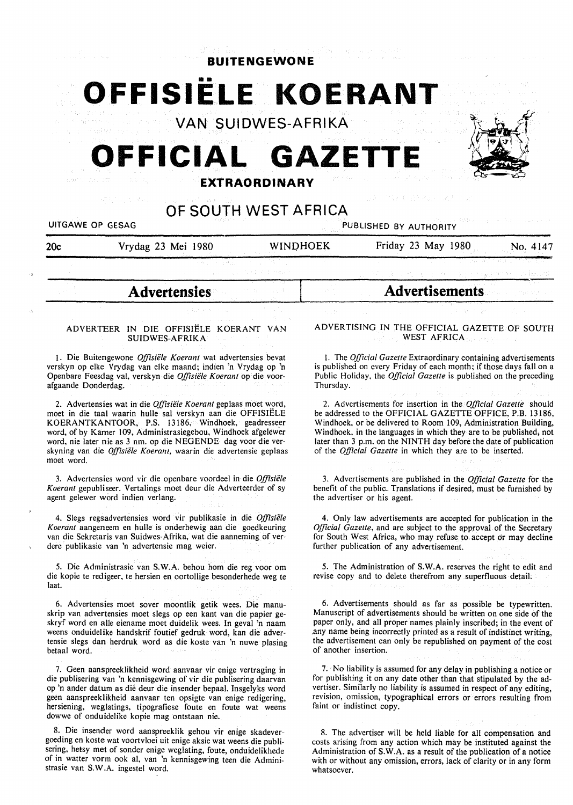| <b>BUITENGEWONE</b><br>OFFISIELE KOERANT<br><b>VAN SUIDWES-AFRIKA</b><br>OFFICIAL GAZETTE<br><b>EXTRAORDINARY</b><br><b>美国的变形的</b>                                  |                                                                                                                                                                                                                                                                                                                                                                                            |  |                                                                                                                                                                                                                                                                                                                                                                                                                             |  |                  |                      |                 |                        |          |
|---------------------------------------------------------------------------------------------------------------------------------------------------------------------|--------------------------------------------------------------------------------------------------------------------------------------------------------------------------------------------------------------------------------------------------------------------------------------------------------------------------------------------------------------------------------------------|--|-----------------------------------------------------------------------------------------------------------------------------------------------------------------------------------------------------------------------------------------------------------------------------------------------------------------------------------------------------------------------------------------------------------------------------|--|------------------|----------------------|-----------------|------------------------|----------|
|                                                                                                                                                                     |                                                                                                                                                                                                                                                                                                                                                                                            |  |                                                                                                                                                                                                                                                                                                                                                                                                                             |  | UITGAWE OP GESAG | OF SOUTH WEST AFRICA |                 | PUBLISHED BY AUTHORITY |          |
|                                                                                                                                                                     |                                                                                                                                                                                                                                                                                                                                                                                            |  |                                                                                                                                                                                                                                                                                                                                                                                                                             |  | 20c              | Vrydag 23 Mei 1980   | <b>WINDHOEK</b> | Friday 23 May 1980     | No. 4147 |
|                                                                                                                                                                     |                                                                                                                                                                                                                                                                                                                                                                                            |  |                                                                                                                                                                                                                                                                                                                                                                                                                             |  |                  |                      |                 |                        |          |
|                                                                                                                                                                     | <b>Advertensies</b>                                                                                                                                                                                                                                                                                                                                                                        |  | <b>Advertisements</b>                                                                                                                                                                                                                                                                                                                                                                                                       |  |                  |                      |                 |                        |          |
|                                                                                                                                                                     |                                                                                                                                                                                                                                                                                                                                                                                            |  |                                                                                                                                                                                                                                                                                                                                                                                                                             |  |                  |                      |                 |                        |          |
|                                                                                                                                                                     | ADVERTEER IN DIE OFFISIËLE KOERANT VAN<br><b>SUIDWES-AFRIKA</b>                                                                                                                                                                                                                                                                                                                            |  | ADVERTISING IN THE OFFICIAL GAZETTE OF SOUTH<br>WEST AFRICA                                                                                                                                                                                                                                                                                                                                                                 |  |                  |                      |                 |                        |          |
|                                                                                                                                                                     | 1. Die Buitengewone Offisiële Koerant wat advertensies bevat<br>verskyn op elke Vrydag van elke maand; indien 'n Vrydag op 'n<br>Openbare Feesdag val, verskyn die Offisiële Koerant op die voor-<br>afgaande Donderdag, when the second adjustment of the fit                                                                                                                             |  | 1. The Official Gazette Extraordinary containing advertisements<br>is published on every Friday of each month; if those days fall on a<br>Public Holiday, the <i>Official Gazette</i> is published on the preceding<br>Thursday.                                                                                                                                                                                            |  |                  |                      |                 |                        |          |
| moet word.                                                                                                                                                          | 2. Advertensies wat in die Offisiële Koerant geplaas moet word,<br>moet in die taal waarin hulle sal verskyn aan die OFFISIELE<br>KOERANTKANTOOR, P.S. 13186, Windhoek, geadresseer<br>word, of by Kamer 109, Administrasiegebou, Windhoek afgelewer<br>word, nie later nie as 3 nm. op die NEGENDE dag voor die ver-<br>skyning van die Offisiële Koerant, waarin die advertensie geplaas |  | 2. Advertisements for insertion in the Official Gazette should<br>be addressed to the OFFICIAL GAZETTE OFFICE, P.B. 13186,<br>Windhoek, or be delivered to Room 109, Administration Building,<br>Windhoek, in the languages in which they are to be published, not<br>later than 3 p.m. on the NINTH day before the date of publication<br>of the Official Gazette in which they are to be inserted.<br>たいひん ステート<br>inder. |  |                  |                      |                 |                        |          |
|                                                                                                                                                                     | 3. Advertensies word vir die openbare voordeel in die Offisiële<br>Koerant gepubliseer. Vertalings moet deur die Adverteerder of sy<br>agent gelewer word indien verlang.                                                                                                                                                                                                                  |  | ing a sa bagaim ang ito ay ang mga tinan<br>3. Advertisements are published in the Official Gazette for the<br>benefit of the public. Translations if desired, must be furnished by<br>the advertiser or his agent.                                                                                                                                                                                                         |  |                  |                      |                 |                        |          |
|                                                                                                                                                                     | 4. Slegs regsadvertensies word vir publikasie in die Offisiële<br>Koerant aangeneem en hulle is onderhewig aan die goedkeuring<br>van die Sekretaris van Suidwes-Afrika, wat die aanneming of ver-<br>dere publikasie van 'n advertensie mag weier.                                                                                                                                        |  | 4. Only law advertisements are accepted for publication in the<br>Official Gazette, and are subject to the approval of the Secretary<br>for South West Africa, who may refuse to accept or may decline<br>further publication of any advertisement.                                                                                                                                                                         |  |                  |                      |                 |                        |          |
| 5. Die Administrasie van S.W.A. behou hom die reg voor om<br>die kopie te redigeer, te hersien en oortollige besonderhede weg te<br>laat.<br>The Conference Company |                                                                                                                                                                                                                                                                                                                                                                                            |  | a da a deveniño<br>5. The Administration of S.W.A. reserves the right to edit and<br>revise copy and to delete therefrom any superfluous detail.<br><b>これもストル語・コーヒー 一つ (特別な) いっしゃ 化にほいこう にこうみんしゃ</b>                                                                                                                                                                                                                        |  |                  |                      |                 |                        |          |
| betaal word.                                                                                                                                                        | 6. Advertensies moet sover moontlik getik wees. Die manu-<br>skrip van advertensies moet slegs op een kant van die papier ge-<br>skryf word en alle eiename moet duidelik wees. In geval 'n naam<br>weens onduidelike handskrif foutief gedruk word, kan die adver-<br>tensie slegs dan herdruk word as die koste van 'n nuwe plasing<br>the change of the samples of the control of the   |  | 6. Advertisements should as far as possible be typewritten.<br>Manuscript of advertisements should be written on one side of the<br>paper only, and all proper names plainly inscribed; in the event of<br>any name being incorrectly printed as a result of indistinct writing,<br>the advertisement can only be republished on payment of the cost<br>of another insertion.                                               |  |                  |                      |                 |                        |          |
|                                                                                                                                                                     | 7. Geen aanspreeklikheid word aanvaar vir enige vertraging in                                                                                                                                                                                                                                                                                                                              |  | 医异丙基酮 医大脑性肌炎 多因的 医静脉<br>$7.$ No liability is assumed for any delay in publishing a notice or                                                                                                                                                                                                                                                                                                                                |  |                  |                      |                 |                        |          |

die publisering van 'n kennisgewing of vir die publisering daarvan op 'n ander datum as die deur die insender bepaal. Insgelyks word geen aanspreeklikheid aanvaar ten opsigte van enige redigering, hersiening, weglatings, tipografiese foute en foute wat weens dowwe of onduidelike kopie mag ontstaan nie.

8. Die insender word aanspreeklik gehou vir enige skadevergoeding en koste wat voortvloei uit enige aksie wat weens die publisering, hetsy met of sonder enige weglating, foute, onduidelikhede of in watter vorm ook al, van 'n kennisgewing teen die Administrasie van S.W.A. ingestel word.

8. The advertiser will be held liable for all compensation and costs arising from any action which may be instituted against the Administration of S.W.A. as a result of the publication of a notice with or without any omission, errors, lack of clarity or in any form whatsoever.

for publishing it on any date other than that stipulated by the advertiser. Similarly no liability is assumed in respect of any editing, revision, omission, typographical errors or errors resulting from

faint or indistinct copy.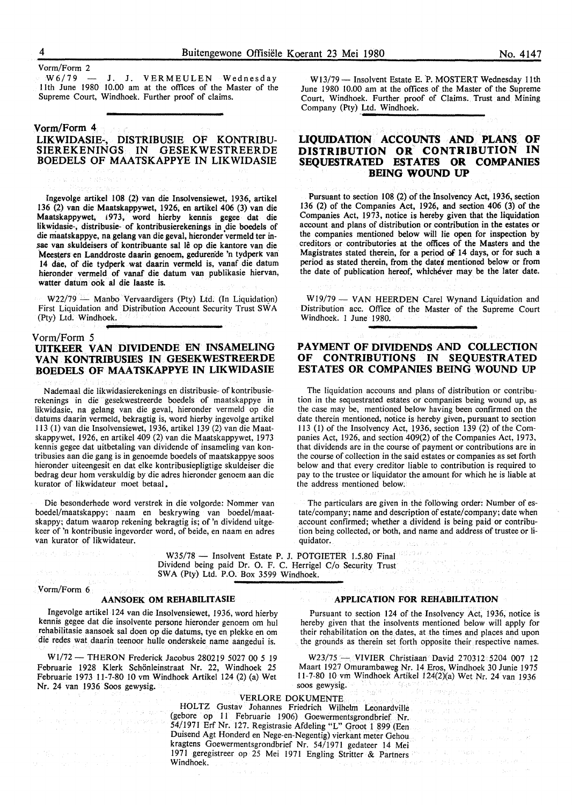Vorm/Form 2

 $W6/79$  - J. J. VERMEULEN Wednesday I Ith June 1980 10.00 am at the offices of the Master of the Supreme Court, Windhoek. Further proof of claims.

# **Vorm/Form 4 LIKWIDASIE:-, DISTRIBUSIE OF KONTRIBU-SIEREKENINGS IN GESEKWESTREERDE BOEDELS OF MAATSKAPPYE IN LIKWIDASIE**

Ingevolge artikel 108 (2) van die Insolvensiewet, 1936, artikel 136 (2) van die Maatskappywet, 1926, en artikel 406 (3) van die Maatskappywet, 1973, word hierby kennis gegee dat die likwidasie-, distribusie- of kontribusierekenings in die boedels of die maatskappye, na gelang van die geval, hieronder vermeld ter insae van skuldeisers of kontribuante sal le op die kantore van die Meesters en Landdroste daarin genoem, gedureride 'n tydperk van 14 dae, of die tydperk wat daarin vermeld is, vanaf die datum hieronder vermeld of vanaf die datum van publikasie hiervan, watter datum ook al die laaste is.

 $W22/79$  - Manbo Vervaardigers (Pty) Ltd. (In Liquidation) First Liquidation and Distribution Account Security Trust SW A (Pty) Ltd. Windhoek.

Vorm/Form 5

# **UITKEER VAN DIVIDENDE EN INSAMELING VAN KONTRIBUSIBS IN GESEKWESTREERDE BOEDELS OF MAA TSKAPPYE IN LIKWIDASIE**

N ademaal die likwidasierekenings en distribusie- of kontribusierekenings in die gesekwestreerde boedels of maatskappye in likwidasie, na gelang van die geval, hieronder vermeld op die datums daarin vermeld, bekragtig is, word hierby ingevolge artikel 113 (1) van die Insolvensiewet, 1936, artikel 139 (2) van die Maatskappywet, 1926, en artikel 409 (2) van die Maatskappywet, 1973 kennis gegee dat uitbetaling van dividende of insameling van kontribusies aan die gang is in genoemde boedels of maatskappye soos hieronder uiteengesit en dat elke kontribusiepligtige skuldeiser die bedrag deur horn verskuldig by die adres hieronder genoem aan die kurator of likwidateur moet betaal.

Die besonderhede word verstrek in die volgorde: Nommer van boedel/maatskappy; naam en beskrywing van boedel/maatskappy; datum waarop rekening bekragtig is; of 'n dividend uitgekeer of 'n kontribusie ingevorder word, of beide, en naam en adres van kurator of likwidateur.

W13/79 - Insolvent Estate E. P. MOSTERT Wednesday 11th June 1980 10.00 am at the offices of the Master of the Supreme Court, Windhoek. Further proof of Claims. Trust and Mining Company (Pty) Ltd. Windhoek.<br>
Company (Pty) Ltd. Windhoek.

## **LIQUIDATION ACCOUNTS AND PLANS\_ OF DISTRIBUTION OR CONTRIBUTION IN SEQUESTRATED ESTATES OR COMPANIES BEING WOUND UP**

Pursuant to section 108 (2) of the Insolvency Act, 1936, section 136 (2) of the Companies Act, 1926, and section 406 (3) of the Companies Act, 1973, notice is hereby given that the liquidation account and plans of distribution or contribution in the estates or the companies mentioned below will lie open for inspection by creditors or contributories at the offices of the Masters and the Magistrates stated therein, for a period of 14 days, or for such a period as stated therein, from the dates mentioned below or from the date of publication hereof, whichever may be the later date.

W19/79 - VAN HEERDEN Carel Wynand Liquidation and Distribution acc. Office of the Master of the Supreme Court Windhoek. I June 1980.

## **PAYMENT OF DIVIDENDS AND COLLECTION OF CONTRIBUTIONS IN SEQUESTRATED ESTATES OR COMPANIES BEING WOUND UP**

The liquidation accouns and plans of distribution or contribution in the sequestrated estates or companies being wound up, as the case may be, mentioned below having been confirmed on the date therein mentioned, notice is hereby given, pursuant to section l l 3 (1) of the Insolvency Act, 1936, section 139 (2) of the Companies Act, 1926, and section 409(2) of the Companies Act, 1973, that dividends are in the course of payment or contributions are in the course of collection in the said estates or companies as set forth below and that every creditor liable to contribution is required to pay to the trustee or liquidator the amount for which he is liable at the address mentioned below.

The particulars are given in the following order: Number of estate/company; name and description of estate/company; date when account confirmed; whether a dividend is being paid or contribution being collected, or both, and name and address of trustee or liquidator. stola.

작가일 소식

W35/78 - Insolvent Estate P. J. POTGIETER 1.5.80 Final material Dividend being paid Dr. 0. F. C. Herrigel C/o Security Trust SWA (Pty) Ltd. P.O. Box 3599 Windhoek.

Vorm/Form 6

# **AANSOEK OM REHABILITASIE**

lngevolge artikel 124 van die Insolvensiewet, 1936, word hierby kennis gegee dat die insolvente persone hieronder genoem om hul rehabilitasie aansoek sal doen op die datums, tye en plekke en om die redes wat daarin teenoor hulle onderskeie name aangedui is.

W1/72 - THERON Frederick Jacobus 280219 5027 00 5 19 Februarie 1928 Klerk Schönleinstraat Nr. 22, Windhoek 25 Februarie 1973 11-7-80 10 vm Windhoek Artikel 124 (2) (a) Wet Nr. 24 van 1936 Soos gewysig.

### **APPLICATION FOR REHABILITATION**

Pursuant to section 124 of the Insolvency Act, 1936, notice is hereby given that the insolvents mentioned below will apply for their rehabilitation on the dates, at the times and places and upon the grounds as therein set forth opposite their respective names.

W23/75 - **VIVIER** Christiaan David 270312 5204 007 12 Maart 1927 Omurambaweg Nr. 14 Eros, Windhoek 30 Junie 1975 11-7-80 10 vm Windhoek Artikel 124(2)(a) Wet Nr. 24 van 1936 soos gewysig. 육골  $\log_2^2\beta$ 

> $\gamma\gamma=\langle\gamma_{\alpha}\rangle\gamma_{\gamma}$  $\label{eq:K} \mathcal{E} \lambda_{\rm{c}} \sim \left( \mathcal{E} \right)^{-1} \left( \mathcal{E}_{\rm{c}} \right)^{-1} \simeq \mathcal{E} \lambda_{\rm{B}} \, \mathcal{E} \, \mathcal{E}^{-1}$

## VERLORE DOKUMENTE

HOLTZ Gustav Johannes Friedrich Wilhelm Leonardville (gebore op 11 Februarie 1906) Goewermentsgrondbrief Nr. 54/1971 Erf Nr. 127. Registrasie Afdeling "L" Groot 1 899 (Een Duisend Agt Honderd en Nege-en-Negentig) vierkant meter Gehou kragtens Goewermentsgrondbrief Nr. 54/1971 gedateer 14 Mei 1971 geregistreer op 25 Mei 1971 Engling Stritter & Partners Windhoek.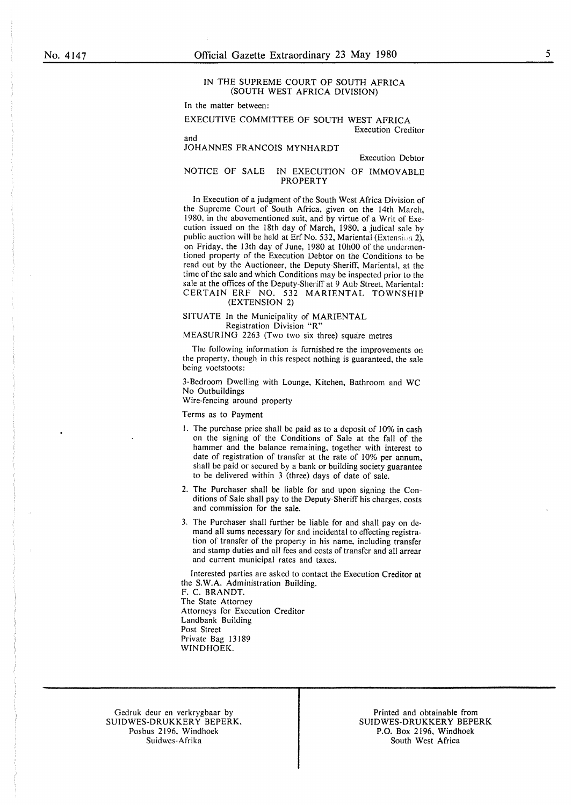## IN THE SUPREME COURT OF SOUTH AFRICA (SOUTH WEST AFRICA DIVISION)

In the matter between:

EXECUTIVE COMMITTEE OF SOUTH WEST AFRICA Execution Creditor

and JOHANNES FRANCOIS MYNHARDT

Execution Debtor

## NOTICE OF SALE IN EXECUTION OF IMMOVABLE PROPERTY

In Execution of a judgment of the South West Africa Division of the Supreme Court of South Africa, given on the 14th March, 1980, in the abovementioned suit, and by virtue of a Writ of Execution issued on the 18th day of March, 1980, a judical sale by public auction will be held at Erf No. 532, Mariental (Extension 2), on Friday, the 13th day of June, 1980 at 10h00 of the undermentioned property of the Execution Debtor on the Conditions to be read out by the Auctioneer, the Deputy-Sheriff, Mariental, at the time of the sale and which Conditions may be inspected prior to the sale at the offices of the Deputy-Sheriff at 9 Aub Street, Mariental: CERTAIN ERF NO. 532 MARIENTAL TOWNSHIP (EXTENSION 2)

SITUATE In the Municipality of MARIENTAL Registration Division "R"

MEASURING 2263 (Two two six three) square metres

The following information is furnished re the improvements on the property, though in this respect nothing is guaranteed, the sale being voetstoots:

3-Bedroom Dwelling with Lounge, Kitchen, Bathroom and WC No Outbuildings

Wire-fencing around property

Terms as to Payment

- I. The purchase price shall be paid as to a deposit of 10% in cash on the signing of the Conditions of Sale at the fall of the hammer and the balance remaining, together with interest to date of registration of transfer at the rate of 10% per annum, shall be paid or secured by a bank or building society guarantee to be delivered within 3 (three) days of date of sale.
- 2. The Purchaser shall be liable for and upon signing the Conditions of Sale shall pay to the Deputy-Sheriff his charges, costs and commission for the sale.
- 3. The Purchaser shall further be liable for and shall pay on demand all sums necessary for and incidental to effecting registration of transfer of the property in his name, including transfer and stamp duties and all fees and costs of transfer and all arrear and current municipal rates and taxes.

Interested parties are asked to contact the Execution Creditor at the **S.W.A.** Administration Building.

F. C. **BRANDT.**  The State Attorney Attorneys for Execution Creditor Landbank Building Post Street Private Bag 13189 **WINDHOEK.** 

Gedruk deur en verkrygbaar by SUIDWES-DRUKKERY BEPERK. Posbus 2196. Windhoek Suidwes-Afrika

Printed and obtainable from SUIDWES-DRUKKERY BEPERK P.O. Box 2196, Windhoek South West Africa